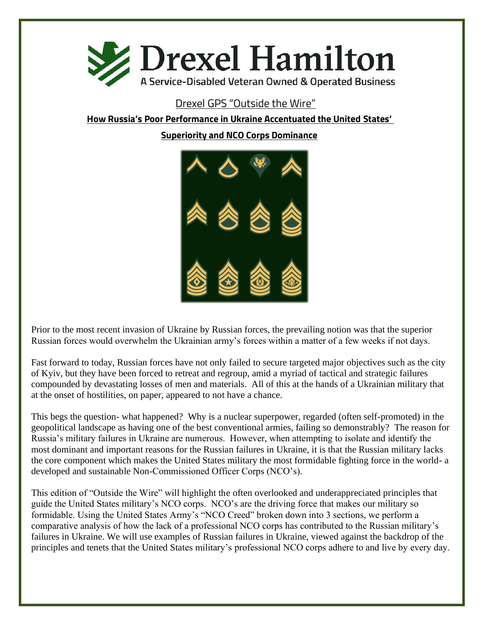

# Drexel GPS "Outside the Wire"

**How Russia's Poor Performance in Ukraine Accentuated the United States'** 

**Superiority and NCO Corps Dominance**



Prior to the most recent invasion of Ukraine by Russian forces, the prevailing notion was that the superior Russian forces would overwhelm the Ukrainian army's forces within a matter of a few weeks if not days.

Fast forward to today, Russian forces have not only failed to secure targeted major objectives such as the city of Kyiv, but they have been forced to retreat and regroup, amid a myriad of tactical and strategic failures compounded by devastating losses of men and materials. All of this at the hands of a Ukrainian military that at the onset of hostilities, on paper, appeared to not have a chance.

This begs the question- what happened? Why is a nuclear superpower, regarded (often self-promoted) in the geopolitical landscape as having one of the best conventional armies, failing so demonstrably? The reason for Russia's military failures in Ukraine are numerous. However, when attempting to isolate and identify the most dominant and important reasons for the Russian failures in Ukraine, it is that the Russian military lacks the core component which makes the United States military the most formidable fighting force in the world- a developed and sustainable Non-Commissioned Officer Corps (NCO's).

This edition of "Outside the Wire" will highlight the often overlooked and underappreciated principles that guide the United States military's NCO corps. NCO's are the driving force that makes our military so formidable. Using the United States Army's "NCO Creed" broken down into 3 sections, we perform a comparative analysis of how the lack of a professional NCO corps has contributed to the Russian military's failures in Ukraine. We will use examples of Russian failures in Ukraine, viewed against the backdrop of the principles and tenets that the United States military's professional NCO corps adhere to and live by every day.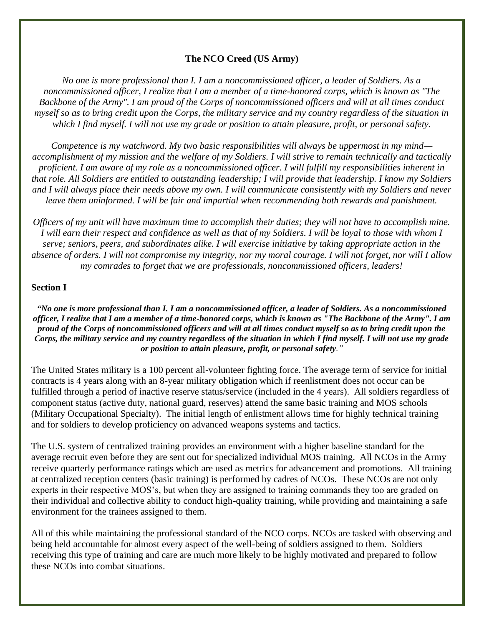## **The NCO Creed (US Army)**

*No one is more professional than I. I am a noncommissioned officer, a leader of Soldiers. As a noncommissioned officer, I realize that I am a member of a time-honored corps, which is known as "The Backbone of the Army". I am proud of the Corps of noncommissioned officers and will at all times conduct myself so as to bring credit upon the Corps, the military service and my country regardless of the situation in which I find myself. I will not use my grade or position to attain pleasure, profit, or personal safety.*

*Competence is my watchword. My two basic responsibilities will always be uppermost in my mind accomplishment of my mission and the welfare of my Soldiers. I will strive to remain technically and tactically proficient. I am aware of my role as a noncommissioned officer. I will fulfill my responsibilities inherent in that role. All Soldiers are entitled to outstanding leadership; I will provide that leadership. I know my Soldiers and I will always place their needs above my own. I will communicate consistently with my Soldiers and never leave them uninformed. I will be fair and impartial when recommending both rewards and punishment.*

*Officers of my unit will have maximum time to accomplish their duties; they will not have to accomplish mine. I will earn their respect and confidence as well as that of my Soldiers. I will be loyal to those with whom I serve; seniors, peers, and subordinates alike. I will exercise initiative by taking appropriate action in the absence of orders. I will not compromise my integrity, nor my moral courage. I will not forget, nor will I allow my comrades to forget that we are professionals, noncommissioned officers, leaders!*

#### **Section I**

*"No one is more professional than I. I am a noncommissioned officer, a leader of Soldiers. As a noncommissioned officer, I realize that I am a member of a time-honored corps, which is known as "The Backbone of the Army". I am proud of the Corps of noncommissioned officers and will at all times conduct myself so as to bring credit upon the Corps, the military service and my country regardless of the situation in which I find myself. I will not use my grade or position to attain pleasure, profit, or personal safety."*

The United States military is a 100 percent all-volunteer fighting force. The average term of service for initial contracts is 4 years along with an 8-year military obligation which if reenlistment does not occur can be fulfilled through a period of inactive reserve status/service (included in the 4 years). All soldiers regardless of component status (active duty, national guard, reserves) attend the same basic training and MOS schools (Military Occupational Specialty). The initial length of enlistment allows time for highly technical training and for soldiers to develop proficiency on advanced weapons systems and tactics.

The U.S. system of centralized training provides an environment with a higher baseline standard for the average recruit even before they are sent out for specialized individual MOS training. All NCOs in the Army receive quarterly performance ratings which are used as metrics for advancement and promotions. All training at centralized reception centers (basic training) is performed by cadres of NCOs. These NCOs are not only experts in their respective MOS's, but when they are assigned to training commands they too are graded on their individual and collective ability to conduct high-quality training, while providing and maintaining a safe environment for the trainees assigned to them.

All of this while maintaining the professional standard of the NCO corps. NCOs are tasked with observing and being held accountable for almost every aspect of the well-being of soldiers assigned to them. Soldiers receiving this type of training and care are much more likely to be highly motivated and prepared to follow these NCOs into combat situations.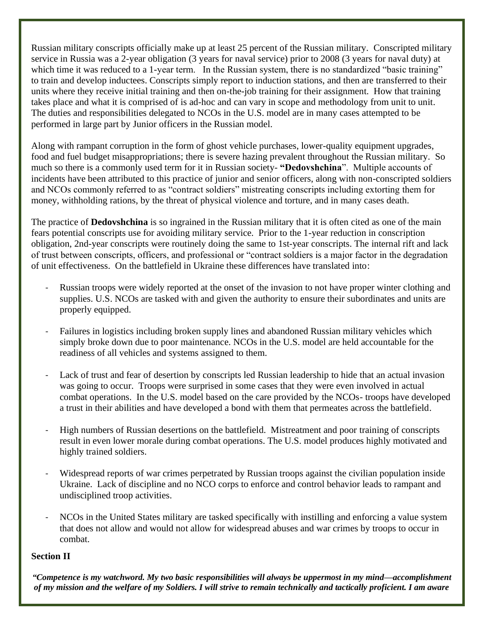Russian military conscripts officially make up at least 25 percent of the Russian military. Conscripted military service in Russia was a 2-year obligation (3 years for naval service) prior to 2008 (3 years for naval duty) at which time it was reduced to a 1-year term. In the Russian system, there is no standardized "basic training" to train and develop inductees. Conscripts simply report to induction stations, and then are transferred to their units where they receive initial training and then on-the-job training for their assignment. How that training takes place and what it is comprised of is ad-hoc and can vary in scope and methodology from unit to unit. The duties and responsibilities delegated to NCOs in the U.S. model are in many cases attempted to be performed in large part by Junior officers in the Russian model.

Along with rampant corruption in the form of ghost vehicle purchases, lower-quality equipment upgrades, food and fuel budget misappropriations; there is severe hazing prevalent throughout the Russian military. So much so there is a commonly used term for it in Russian society- **"Dedovshchina**". Multiple accounts of incidents have been attributed to this practice of junior and senior officers, along with non-conscripted soldiers and NCOs commonly referred to as "contract soldiers" mistreating conscripts including extorting them for money, withholding rations, by the threat of physical violence and torture, and in many cases death.

The practice of **Dedovshchina** is so ingrained in the Russian military that it is often cited as one of the main fears potential conscripts use for avoiding military service. Prior to the 1-year reduction in conscription obligation, 2nd-year conscripts were routinely doing the same to 1st-year conscripts. The internal rift and lack of trust between conscripts, officers, and professional or "contract soldiers is a major factor in the degradation of unit effectiveness. On the battlefield in Ukraine these differences have translated into:

- Russian troops were widely reported at the onset of the invasion to not have proper winter clothing and supplies. U.S. NCOs are tasked with and given the authority to ensure their subordinates and units are properly equipped.
- Failures in logistics including broken supply lines and abandoned Russian military vehicles which simply broke down due to poor maintenance. NCOs in the U.S. model are held accountable for the readiness of all vehicles and systems assigned to them.
- Lack of trust and fear of desertion by conscripts led Russian leadership to hide that an actual invasion was going to occur. Troops were surprised in some cases that they were even involved in actual combat operations. In the U.S. model based on the care provided by the NCOs- troops have developed a trust in their abilities and have developed a bond with them that permeates across the battlefield.
- High numbers of Russian desertions on the battlefield. Mistreatment and poor training of conscripts result in even lower morale during combat operations. The U.S. model produces highly motivated and highly trained soldiers.
- Widespread reports of war crimes perpetrated by Russian troops against the civilian population inside Ukraine. Lack of discipline and no NCO corps to enforce and control behavior leads to rampant and undisciplined troop activities.
- NCOs in the United States military are tasked specifically with instilling and enforcing a value system that does not allow and would not allow for widespread abuses and war crimes by troops to occur in combat.

## **Section II**

*"Competence is my watchword. My two basic responsibilities will always be uppermost in my mind—accomplishment of my mission and the welfare of my Soldiers. I will strive to remain technically and tactically proficient. I am aware*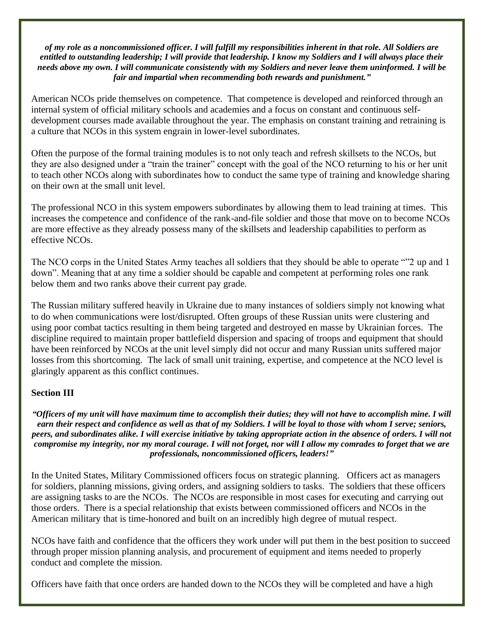#### *of my role as a noncommissioned officer. I will fulfill my responsibilities inherent in that role. All Soldiers are entitled to outstanding leadership; I will provide that leadership. I know my Soldiers and I will always place their needs above my own. I will communicate consistently with my Soldiers and never leave them uninformed. I will be fair and impartial when recommending both rewards and punishment."*

American NCOs pride themselves on competence. That competence is developed and reinforced through an internal system of official military schools and academies and a focus on constant and continuous selfdevelopment courses made available throughout the year. The emphasis on constant training and retraining is a culture that NCOs in this system engrain in lower-level subordinates.

Often the purpose of the formal training modules is to not only teach and refresh skillsets to the NCOs, but they are also designed under a "train the trainer" concept with the goal of the NCO returning to his or her unit to teach other NCOs along with subordinates how to conduct the same type of training and knowledge sharing on their own at the small unit level.

The professional NCO in this system empowers subordinates by allowing them to lead training at times. This increases the competence and confidence of the rank-and-file soldier and those that move on to become NCOs are more effective as they already possess many of the skillsets and leadership capabilities to perform as effective NCOs.

The NCO corps in the United States Army teaches all soldiers that they should be able to operate ""2 up and 1 down". Meaning that at any time a soldier should be capable and competent at performing roles one rank below them and two ranks above their current pay grade.

The Russian military suffered heavily in Ukraine due to many instances of soldiers simply not knowing what to do when communications were lost/disrupted. Often groups of these Russian units were clustering and using poor combat tactics resulting in them being targeted and destroyed en masse by Ukrainian forces. The discipline required to maintain proper battlefield dispersion and spacing of troops and equipment that should have been reinforced by NCOs at the unit level simply did not occur and many Russian units suffered major losses from this shortcoming. The lack of small unit training, expertise, and competence at the NCO level is glaringly apparent as this conflict continues.

## **Section III**

*"Officers of my unit will have maximum time to accomplish their duties; they will not have to accomplish mine. I will earn their respect and confidence as well as that of my Soldiers. I will be loyal to those with whom I serve; seniors, peers, and subordinates alike. I will exercise initiative by taking appropriate action in the absence of orders. I will not compromise my integrity, nor my moral courage. I will not forget, nor will I allow my comrades to forget that we are professionals, noncommissioned officers, leaders!"*

In the United States, Military Commissioned officers focus on strategic planning. Officers act as managers for soldiers, planning missions, giving orders, and assigning soldiers to tasks. The soldiers that these officers are assigning tasks to are the NCOs. The NCOs are responsible in most cases for executing and carrying out those orders. There is a special relationship that exists between commissioned officers and NCOs in the American military that is time-honored and built on an incredibly high degree of mutual respect.

NCOs have faith and confidence that the officers they work under will put them in the best position to succeed through proper mission planning analysis, and procurement of equipment and items needed to properly conduct and complete the mission.

Officers have faith that once orders are handed down to the NCOs they will be completed and have a high